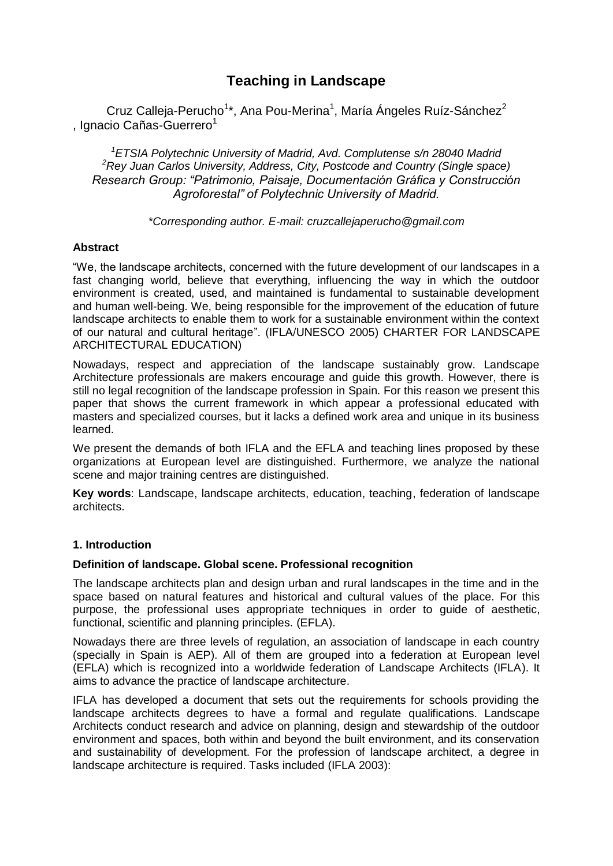# **Teaching in Landscape**

Cruz Calleja-Perucho<sup>1\*</sup>, Ana Pou-Merina<sup>1</sup>, María Ángeles Ruíz-Sánchez<sup>2</sup> , Ignacio Cañas-Guerrero<sup>1</sup>

*<sup>1</sup>ETSIA Polytechnic University of Madrid, Avd. Complutense s/n 28040 Madrid <sup>2</sup>Rey Juan Carlos University, Address, City, Postcode and Country (Single space) Research Group: "Patrimonio, Paisaje, Documentación Gráfica y Construcción Agroforestal" of Polytechnic University of Madrid.*

### *\*Corresponding author. E-mail: cruzcallejaperucho@gmail.com*

### **Abstract**

"We, the landscape architects, concerned with the future development of our landscapes in a fast changing world, believe that everything, influencing the way in which the outdoor environment is created, used, and maintained is fundamental to sustainable development and human well-being. We, being responsible for the improvement of the education of future landscape architects to enable them to work for a sustainable environment within the context of our natural and cultural heritage". (IFLA/UNESCO 2005) CHARTER FOR LANDSCAPE ARCHITECTURAL EDUCATION)

Nowadays, respect and appreciation of the landscape sustainably grow. Landscape Architecture professionals are makers encourage and guide this growth. However, there is still no legal recognition of the landscape profession in Spain. For this reason we present this paper that shows the current framework in which appear a professional educated with masters and specialized courses, but it lacks a defined work area and unique in its business learned.

We present the demands of both IFLA and the EFLA and teaching lines proposed by these organizations at European level are distinguished. Furthermore, we analyze the national scene and major training centres are distinguished.

**Key words**: Landscape, landscape architects, education, teaching, federation of landscape architects.

### **1. Introduction**

#### **Definition of landscape. Global scene. Professional recognition**

The landscape architects plan and design urban and rural landscapes in the time and in the space based on natural features and historical and cultural values of the place. For this purpose, the professional uses appropriate techniques in order to guide of aesthetic, functional, scientific and planning principles. (EFLA).

Nowadays there are three levels of regulation, an association of landscape in each country (specially in Spain is AEP). All of them are grouped into a federation at European level (EFLA) which is recognized into a worldwide federation of Landscape Architects (IFLA). It aims to advance the practice of landscape architecture.

IFLA has developed a document that sets out the requirements for schools providing the landscape architects degrees to have a formal and regulate qualifications. Landscape Architects conduct research and advice on planning, design and stewardship of the outdoor environment and spaces, both within and beyond the built environment, and its conservation and sustainability of development. For the profession of landscape architect, a degree in landscape architecture is required. Tasks included (IFLA 2003):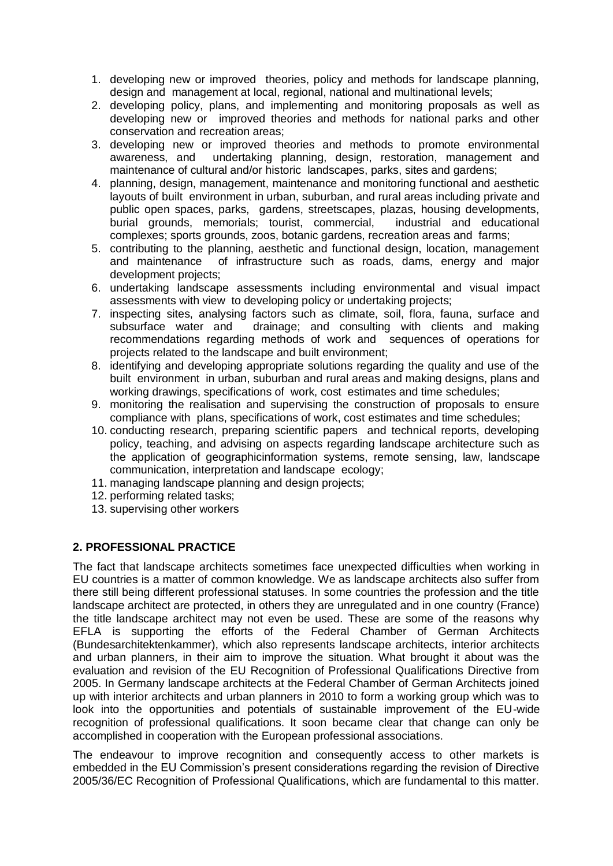- 1. developing new or improved theories, policy and methods for landscape planning, design and management at local, regional, national and multinational levels;
- 2. developing policy, plans, and implementing and monitoring proposals as well as developing new or improved theories and methods for national parks and other conservation and recreation areas;
- 3. developing new or improved theories and methods to promote environmental awareness, and undertaking planning, design, restoration, management and maintenance of cultural and/or historic landscapes, parks, sites and gardens;
- 4. planning, design, management, maintenance and monitoring functional and aesthetic layouts of built environment in urban, suburban, and rural areas including private and public open spaces, parks, gardens, streetscapes, plazas, housing developments, burial grounds, memorials; tourist, commercial, industrial and educational complexes; sports grounds, zoos, botanic gardens, recreation areas and farms;
- 5. contributing to the planning, aesthetic and functional design, location, management and maintenance of infrastructure such as roads, dams, energy and major development projects;
- 6. undertaking landscape assessments including environmental and visual impact assessments with view to developing policy or undertaking projects;
- 7. inspecting sites, analysing factors such as climate, soil, flora, fauna, surface and subsurface water and drainage; and consulting with clients and making recommendations regarding methods of work and sequences of operations for projects related to the landscape and built environment;
- 8. identifying and developing appropriate solutions regarding the quality and use of the built environment in urban, suburban and rural areas and making designs, plans and working drawings, specifications of work, cost estimates and time schedules;
- 9. monitoring the realisation and supervising the construction of proposals to ensure compliance with plans, specifications of work, cost estimates and time schedules;
- 10. conducting research, preparing scientific papers and technical reports, developing policy, teaching, and advising on aspects regarding landscape architecture such as the application of geographicinformation systems, remote sensing, law, landscape communication, interpretation and landscape ecology;
- 11. managing landscape planning and design projects;
- 12. performing related tasks;
- 13. supervising other workers

# **2. PROFESSIONAL PRACTICE**

The fact that landscape architects sometimes face unexpected difficulties when working in EU countries is a matter of common knowledge. We as landscape architects also suffer from there still being different professional statuses. In some countries the profession and the title landscape architect are protected, in others they are unregulated and in one country (France) the title landscape architect may not even be used. These are some of the reasons why EFLA is supporting the efforts of the Federal Chamber of German Architects (Bundesarchitektenkammer), which also represents landscape architects, interior architects and urban planners, in their aim to improve the situation. What brought it about was the evaluation and revision of the EU Recognition of Professional Qualifications Directive from 2005. In Germany landscape architects at the Federal Chamber of German Architects joined up with interior architects and urban planners in 2010 to form a working group which was to look into the opportunities and potentials of sustainable improvement of the EU-wide recognition of professional qualifications. It soon became clear that change can only be accomplished in cooperation with the European professional associations.

The endeavour to improve recognition and consequently access to other markets is embedded in the EU Commission's present considerations regarding the revision of Directive 2005/36/EC Recognition of Professional Qualifications, which are fundamental to this matter.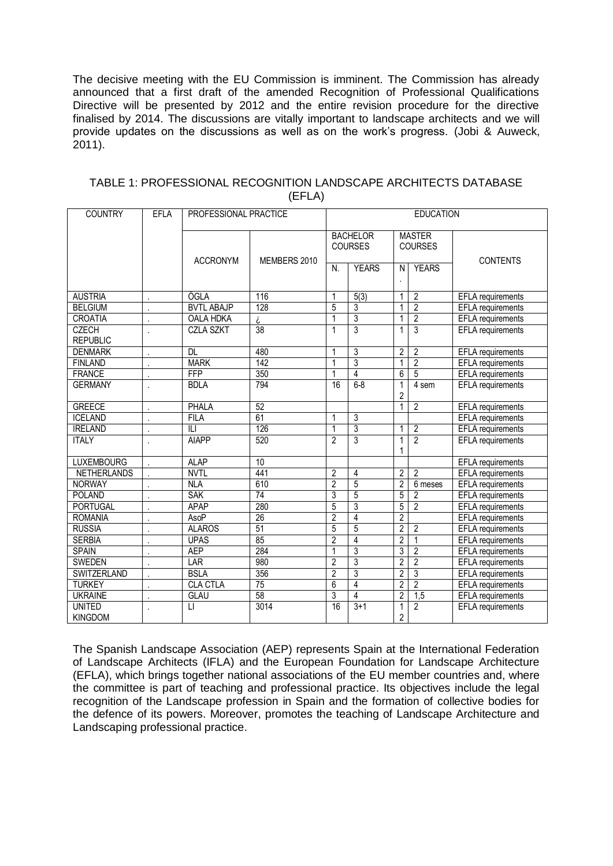The decisive meeting with the EU Commission is imminent. The Commission has already announced that a first draft of the amended Recognition of Professional Qualifications Directive will be presented by 2012 and the entire revision procedure for the directive finalised by 2014. The discussions are vitally important to landscape architects and we will provide updates on the discussions as well as on the work's progress. (Jobi & Auweck, 2011).

| <b>COUNTRY</b>                  | <b>EFLA</b> | PROFESSIONAL PRACTICE |                 | <b>EDUCATION</b>                  |                   |                                 |                  |                          |
|---------------------------------|-------------|-----------------------|-----------------|-----------------------------------|-------------------|---------------------------------|------------------|--------------------------|
|                                 |             |                       |                 | <b>BACHELOR</b><br><b>COURSES</b> |                   | <b>MASTER</b><br><b>COURSES</b> |                  |                          |
|                                 |             | <b>ACCRONYM</b>       | MEMBERS 2010    | N.                                | <b>YEARS</b>      | N                               | <b>YEARS</b>     | <b>CONTENTS</b>          |
| <b>AUSTRIA</b>                  |             | ÖGLA                  | 116             | 1                                 | $\overline{5(3)}$ | 1                               | $\overline{2}$   | EFLA requirements        |
| <b>BELGIUM</b>                  |             | <b>BVTL ABAJP</b>     | 128             | 5                                 | 3                 | 1                               | $\overline{2}$   | <b>EFLA</b> requirements |
| <b>CROATIA</b>                  |             | <b>OALA HDKA</b>      | i               | 1                                 | $\overline{3}$    | 1                               | $\overline{2}$   | <b>EFLA</b> requirements |
| <b>CZECH</b><br><b>REPUBLIC</b> |             | <b>CZLA SZKT</b>      | 38              | 1                                 | 3                 | 1                               | $\overline{3}$   | <b>EFLA</b> requirements |
| <b>DENMARK</b>                  |             | <b>DL</b>             | 480             | 1                                 | 3                 | $\overline{2}$                  | $\overline{2}$   | <b>EFLA</b> requirements |
| <b>FINLAND</b>                  |             | <b>MARK</b>           | 142             | 1                                 | 3                 | 1                               | $\overline{2}$   | <b>EFLA</b> requirements |
| <b>FRANCE</b>                   |             | FFP                   | 350             | 1                                 | $\overline{4}$    | $\overline{6}$                  | $\overline{5}$   | <b>EFLA</b> requirements |
| <b>GERMANY</b>                  |             | <b>BDLA</b>           | 794             | 16                                | $6 - 8$           | $\overline{2}$                  | 4 sem            | <b>EFLA</b> requirements |
| <b>GREECE</b>                   | l,          | <b>PHALA</b>          | 52              |                                   |                   | 1                               | $\overline{2}$   | <b>EFLA</b> requirements |
| <b>ICELAND</b>                  |             | <b>FILA</b>           | 61              | 1                                 | 3                 |                                 |                  | <b>EFLA</b> requirements |
| <b>IRELAND</b>                  |             | ILI                   | 126             | 1                                 | 3                 | 1                               | $\overline{2}$   | <b>EFLA</b> requirements |
| <b>ITALY</b>                    |             | <b>AIAPP</b>          | 520             | $\overline{2}$                    | 3                 | 1<br>1                          | $\overline{2}$   | <b>EFLA</b> requirements |
| <b>LUXEMBOURG</b>               |             | <b>ALAP</b>           | 10              |                                   |                   |                                 |                  | <b>EFLA</b> requirements |
| <b>NETHERLANDS</b>              |             | <b>NVTL</b>           | 441             | $\overline{2}$                    | 4                 | $\overline{2}$                  | $\overline{2}$   | <b>EFLA</b> requirements |
| <b>NORWAY</b>                   |             | <b>NLA</b>            | 610             | $\overline{2}$                    | 5                 | $\overline{2}$                  | $6$ meses        | <b>EFLA</b> requirements |
| <b>POLAND</b>                   |             | <b>SAK</b>            | $\overline{74}$ | 3                                 | 5                 | 5                               | $\overline{2}$   | <b>EFLA</b> requirements |
| <b>PORTUGAL</b>                 |             | <b>APAP</b>           | 280             | 5                                 | 3                 | 5                               | $\overline{2}$   | <b>EFLA</b> requirements |
| <b>ROMANIA</b>                  |             | AsoP                  | 26              | $\overline{c}$                    | 4                 | $\overline{2}$                  |                  | <b>EFLA</b> requirements |
| <b>RUSSIA</b>                   |             | <b>ALAROS</b>         | 51              | 5                                 | 5                 | 2                               | $\overline{2}$   | <b>EFLA</b> requirements |
| <b>SERBIA</b>                   |             | <b>UPAS</b>           | 85              | $\overline{2}$                    | $\overline{4}$    | $\overline{2}$                  | 1                | <b>EFLA</b> requirements |
| <b>SPAIN</b>                    |             | <b>AEP</b>            | 284             | 1                                 | 3                 | $\overline{3}$                  | $\overline{2}$   | <b>EFLA</b> requirements |
| <b>SWEDEN</b>                   |             | LAR                   | 980             | $\overline{2}$                    | $\overline{3}$    | $\overline{2}$                  | $\overline{2}$   | <b>EFLA</b> requirements |
| <b>SWITZERLAND</b>              |             | <b>BSLA</b>           | 356             | $\overline{2}$                    | 3                 | $\overline{2}$                  | $\overline{3}$   | <b>EFLA</b> requirements |
| <b>TURKEY</b>                   |             | <b>CLA CTLA</b>       | $\overline{75}$ | 6                                 | $\overline{4}$    | $\overline{2}$                  | $\overline{2}$   | EFLA requirements        |
| <b>UKRAINE</b>                  |             | <b>GLAU</b>           | $\overline{58}$ | 3                                 | 4                 | $\overline{2}$                  | $\overline{1,5}$ | EFLA requirements        |
| <b>UNITED</b><br><b>KINGDOM</b> |             | $\Box$                | 3014            | 16                                | $3 + 1$           | 1<br>$\overline{2}$             | $\overline{2}$   | <b>EFLA</b> requirements |

#### TABLE 1: PROFESSIONAL RECOGNITION LANDSCAPE ARCHITECTS DATABASE (EFLA)

The Spanish Landscape Association (AEP) represents Spain at the International Federation of Landscape Architects (IFLA) and the European Foundation for Landscape Architecture (EFLA), which brings together national associations of the EU member countries and, where the committee is part of teaching and professional practice. Its objectives include the legal recognition of the Landscape profession in Spain and the formation of collective bodies for the defence of its powers. Moreover, promotes the teaching of Landscape Architecture and Landscaping professional practice.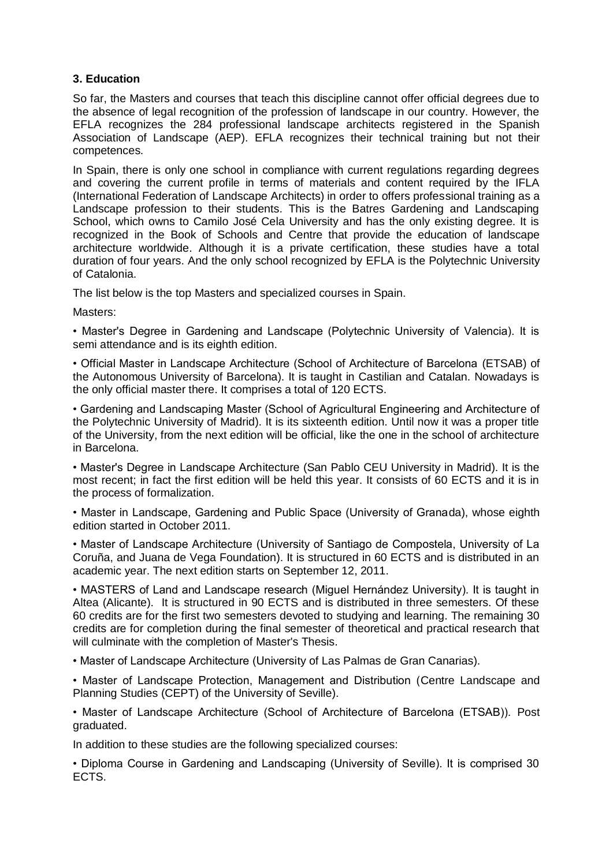# **3. Education**

So far, the Masters and courses that teach this discipline cannot offer official degrees due to the absence of legal recognition of the profession of landscape in our country. However, the EFLA recognizes the 284 professional landscape architects registered in the Spanish Association of Landscape (AEP). EFLA recognizes their technical training but not their competences.

In Spain, there is only one school in compliance with current regulations regarding degrees and covering the current profile in terms of materials and content required by the IFLA (International Federation of Landscape Architects) in order to offers professional training as a Landscape profession to their students. This is the Batres Gardening and Landscaping School, which owns to Camilo José Cela University and has the only existing degree. It is recognized in the Book of Schools and Centre that provide the education of landscape architecture worldwide. Although it is a private certification, these studies have a total duration of four years. And the only school recognized by EFLA is the Polytechnic University of Catalonia.

The list below is the top Masters and specialized courses in Spain.

Masters:

• Master's Degree in Gardening and Landscape (Polytechnic University of Valencia). It is semi attendance and is its eighth edition.

• Official Master in Landscape Architecture (School of Architecture of Barcelona (ETSAB) of the Autonomous University of Barcelona). It is taught in Castilian and Catalan. Nowadays is the only official master there. It comprises a total of 120 ECTS.

• Gardening and Landscaping Master (School of Agricultural Engineering and Architecture of the Polytechnic University of Madrid). It is its sixteenth edition. Until now it was a proper title of the University, from the next edition will be official, like the one in the school of architecture in Barcelona.

• Master's Degree in Landscape Architecture (San Pablo CEU University in Madrid). It is the most recent; in fact the first edition will be held this year. It consists of 60 ECTS and it is in the process of formalization.

• Master in Landscape, Gardening and Public Space (University of Granada), whose eighth edition started in October 2011.

• Master of Landscape Architecture (University of Santiago de Compostela, University of La Coruña, and Juana de Vega Foundation). It is structured in 60 ECTS and is distributed in an academic year. The next edition starts on September 12, 2011.

• MASTERS of Land and Landscape research (Miguel Hernández University). It is taught in Altea (Alicante). It is structured in 90 ECTS and is distributed in three semesters. Of these 60 credits are for the first two semesters devoted to studying and learning. The remaining 30 credits are for completion during the final semester of theoretical and practical research that will culminate with the completion of Master's Thesis.

• Master of Landscape Architecture (University of Las Palmas de Gran Canarias).

• Master of Landscape Protection, Management and Distribution (Centre Landscape and Planning Studies (CEPT) of the University of Seville).

• Master of Landscape Architecture (School of Architecture of Barcelona (ETSAB)). Post graduated.

In addition to these studies are the following specialized courses:

• Diploma Course in Gardening and Landscaping (University of Seville). It is comprised 30 ECTS.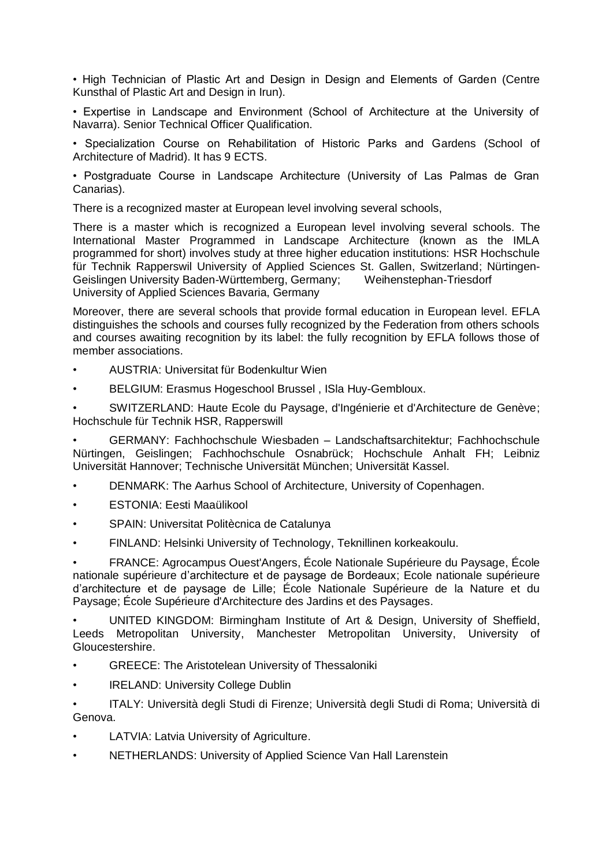• High Technician of Plastic Art and Design in Design and Elements of Garden (Centre Kunsthal of Plastic Art and Design in Irun).

• Expertise in Landscape and Environment (School of Architecture at the University of Navarra). Senior Technical Officer Qualification.

• Specialization Course on Rehabilitation of Historic Parks and Gardens (School of Architecture of Madrid). It has 9 ECTS.

• Postgraduate Course in Landscape Architecture (University of Las Palmas de Gran Canarias).

There is a recognized master at European level involving several schools,

There is a master which is recognized a European level involving several schools. The International Master Programmed in Landscape Architecture (known as the IMLA programmed for short) involves study at three higher education institutions: HSR Hochschule für Technik Rapperswil University of Applied Sciences St. Gallen, Switzerland; Nürtingen-Geislingen University Baden-Württemberg, Germany; Weihenstephan-Triesdorf University of Applied Sciences Bavaria, Germany

Moreover, there are several schools that provide formal education in European level. EFLA distinguishes the schools and courses fully recognized by the Federation from others schools and courses awaiting recognition by its label: the fully recognition by EFLA follows those of member associations.

- AUSTRIA: Universitat für Bodenkultur Wien
- BELGIUM: Erasmus Hogeschool Brussel , ISla Huy-Gembloux.

• SWITZERLAND: Haute Ecole du Paysage, d'Ingénierie et d'Architecture de Genève; Hochschule für Technik HSR, Rapperswill

• GERMANY: Fachhochschule Wiesbaden – Landschaftsarchitektur; Fachhochschule Nürtingen, Geislingen; Fachhochschule Osnabrück; Hochschule Anhalt FH; Leibniz Universität Hannover; Technische Universität München; Universität Kassel.

- DENMARK: The Aarhus School of Architecture, University of Copenhagen.
- ESTONIA: Eesti Maaülikool
- SPAIN: Universitat Politècnica de Catalunya
- FINLAND: Helsinki University of Technology, Teknillinen korkeakoulu.

• FRANCE: Agrocampus Ouest'Angers, École Nationale Supérieure du Paysage, École nationale supérieure d'architecture et de paysage de Bordeaux; Ecole nationale supérieure d'architecture et de paysage de Lille; École Nationale Supérieure de la Nature et du Paysage; École Supérieure d'Architecture des Jardins et des Paysages.

• UNITED KINGDOM: Birmingham Institute of Art & Design, University of Sheffield, Leeds Metropolitan University, Manchester Metropolitan University, University of Gloucestershire.

- GREECE: The Aristotelean University of Thessaloniki
- **IRELAND: University College Dublin**

• ITALY: Università degli Studi di Firenze; Università degli Studi di Roma; Università di Genova.

- LATVIA: Latvia University of Agriculture.
- NETHERLANDS: University of Applied Science Van Hall Larenstein